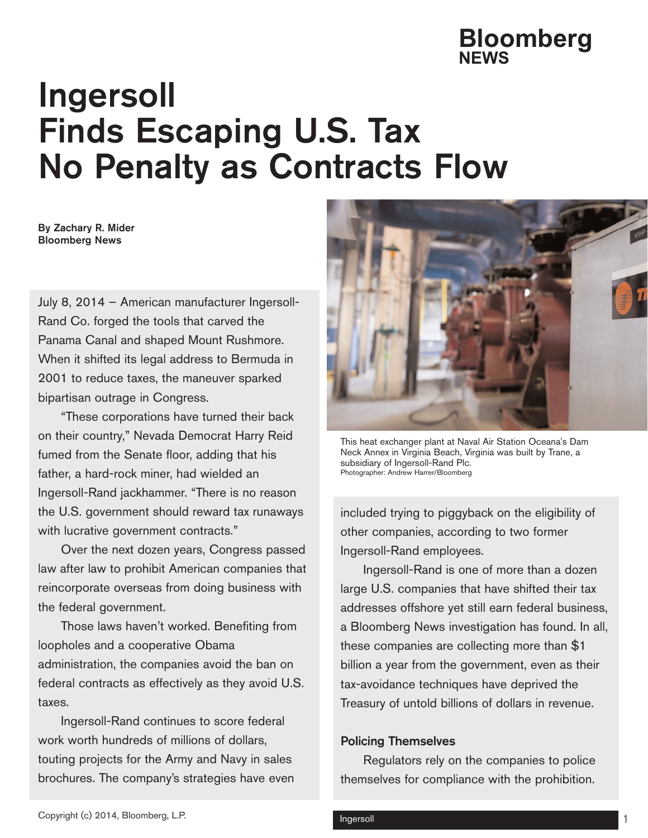# Ingersoll Finds Escaping U.S. Tax No Penalty as Contracts Flow

By Zachary R. Mider Bloomberg News

July 8, 2014 – American manufacturer Ingersoll-Rand Co. forged the tools that carved the Panama Canal and shaped Mount Rushmore. When it shifted its legal address to Bermuda in 2001 to reduce taxes, the maneuver sparked bipartisan outrage in Congress.

"These corporations have turned their back on their country," Nevada Democrat Harry Reid fumed from the Senate floor, adding that his father, a hard-rock miner, had wielded an Ingersoll-Rand jackhammer. "There is no reason the U.S. government should reward tax runaways with lucrative government contracts."

Over the next dozen years, Congress passed law after law to prohibit American companies that reincorporate overseas from doing business with the federal government.

Those laws haven't worked. Benefiting from loopholes and a cooperative Obama administration, the companies avoid the ban on federal contracts as effectively as they avoid U.S. taxes.

Ingersoll-Rand continues to score federal work worth hundreds of millions of dollars, touting projects for the Army and Navy in sales brochures. The company's strategies have even



This heat exchanger plant at Naval Air Station Oceana's Dam Neck Annex in Virginia Beach, Virginia was built by Trane, a subsidiary of Ingersoll-Rand Plc. Photographer: Andrew Harrer/Bloomberg

included trying to piggyback on the eligibility of other companies, according to two former Ingersoll-Rand employees.

Ingersoll-Rand is one of more than a dozen large U.S. companies that have shifted their tax addresses offshore yet still earn federal business, a Bloomberg News investigation has found. In all, these companies are collecting more than \$1 billion a year from the government, even as their tax-avoidance techniques have deprived the Treasury of untold billions of dollars in revenue.

# Policing Themselves

Regulators rely on the companies to police themselves for compliance with the prohibition.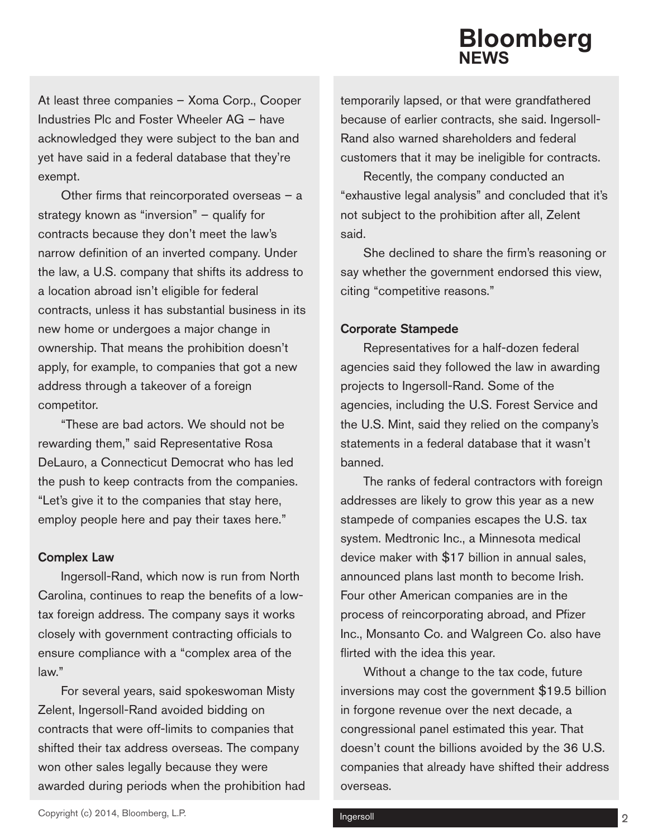At least three companies – Xoma Corp., Cooper Industries Plc and Foster Wheeler AG – have acknowledged they were subject to the ban and yet have said in a federal database that they're exempt.

Other firms that reincorporated overseas – a strategy known as "inversion" – qualify for contracts because they don't meet the law's narrow definition of an inverted company. Under the law, a U.S. company that shifts its address to a location abroad isn't eligible for federal contracts, unless it has substantial business in its new home or undergoes a major change in ownership. That means the prohibition doesn't apply, for example, to companies that got a new address through a takeover of a foreign competitor.

"These are bad actors. We should not be rewarding them," said Representative Rosa DeLauro, a Connecticut Democrat who has led the push to keep contracts from the companies. "Let's give it to the companies that stay here, employ people here and pay their taxes here."

# Complex Law

Ingersoll-Rand, which now is run from North Carolina, continues to reap the benefits of a lowtax foreign address. The company says it works closely with government contracting officials to ensure compliance with a "complex area of the law."

For several years, said spokeswoman Misty Zelent, Ingersoll-Rand avoided bidding on contracts that were off-limits to companies that shifted their tax address overseas. The company won other sales legally because they were awarded during periods when the prohibition had temporarily lapsed, or that were grandfathered because of earlier contracts, she said. Ingersoll-Rand also warned shareholders and federal customers that it may be ineligible for contracts.

Recently, the company conducted an "exhaustive legal analysis" and concluded that it's not subject to the prohibition after all, Zelent said.

She declined to share the firm's reasoning or say whether the government endorsed this view, citing "competitive reasons."

# Corporate Stampede

Representatives for a half-dozen federal agencies said they followed the law in awarding projects to Ingersoll-Rand. Some of the agencies, including the U.S. Forest Service and the U.S. Mint, said they relied on the company's statements in a federal database that it wasn't banned.

The ranks of federal contractors with foreign addresses are likely to grow this year as a new stampede of companies escapes the U.S. tax system. Medtronic Inc., a Minnesota medical device maker with \$17 billion in annual sales, announced plans last month to become Irish. Four other American companies are in the process of reincorporating abroad, and Pfizer Inc., Monsanto Co. and Walgreen Co. also have flirted with the idea this year.

Without a change to the tax code, future inversions may cost the government \$19.5 billion in forgone revenue over the next decade, a congressional panel estimated this year. That doesn't count the billions avoided by the 36 U.S. companies that already have shifted their address overseas.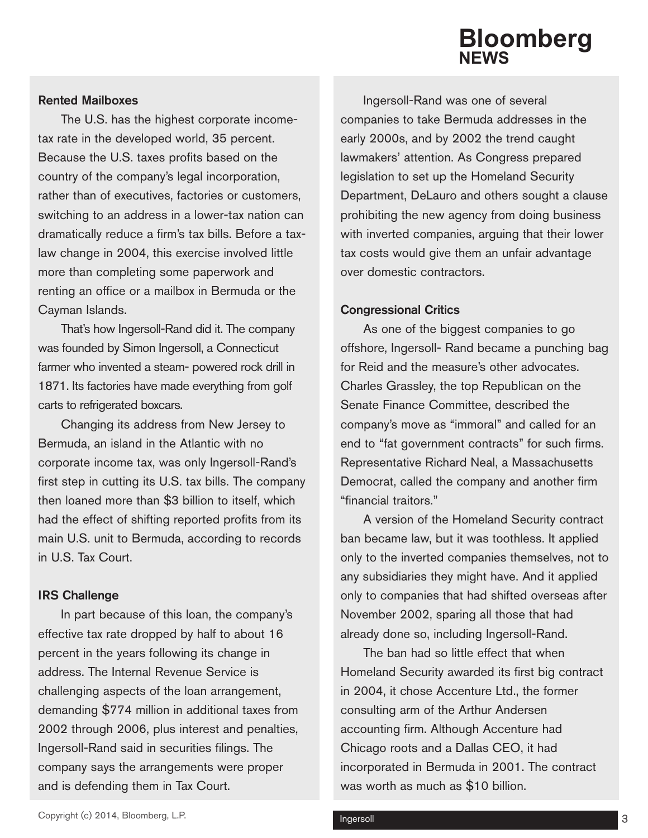# Rented Mailboxes

The U.S. has the highest corporate incometax rate in the developed world, 35 percent. Because the U.S. taxes profits based on the country of the company's legal incorporation, rather than of executives, factories or customers, switching to an address in a lower-tax nation can dramatically reduce a firm's tax bills. Before a taxlaw change in 2004, this exercise involved little more than completing some paperwork and renting an office or a mailbox in Bermuda or the Cayman Islands.

That's how Ingersoll-Rand did it. The company was founded by Simon Ingersoll, a Connecticut farmer who invented a steam- powered rock drill in 1871. Its factories have made everything from golf carts to refrigerated boxcars.

Changing its address from New Jersey to Bermuda, an island in the Atlantic with no corporate income tax, was only Ingersoll-Rand's first step in cutting its U.S. tax bills. The company then loaned more than \$3 billion to itself, which had the effect of shifting reported profits from its main U.S. unit to Bermuda, according to records in U.S. Tax Court.

# IRS Challenge

In part because of this loan, the company's effective tax rate dropped by half to about 16 percent in the years following its change in address. The Internal Revenue Service is challenging aspects of the loan arrangement, demanding \$774 million in additional taxes from 2002 through 2006, plus interest and penalties, Ingersoll-Rand said in securities filings. The company says the arrangements were proper and is defending them in Tax Court.

Ingersoll-Rand was one of several companies to take Bermuda addresses in the early 2000s, and by 2002 the trend caught lawmakers' attention. As Congress prepared legislation to set up the Homeland Security Department, DeLauro and others sought a clause prohibiting the new agency from doing business with inverted companies, arguing that their lower tax costs would give them an unfair advantage over domestic contractors.

# Congressional Critics

As one of the biggest companies to go offshore, Ingersoll- Rand became a punching bag for Reid and the measure's other advocates. Charles Grassley, the top Republican on the Senate Finance Committee, described the company's move as "immoral" and called for an end to "fat government contracts" for such firms. Representative Richard Neal, a Massachusetts Democrat, called the company and another firm "financial traitors."

A version of the Homeland Security contract ban became law, but it was toothless. It applied only to the inverted companies themselves, not to any subsidiaries they might have. And it applied only to companies that had shifted overseas after November 2002, sparing all those that had already done so, including Ingersoll-Rand.

The ban had so little effect that when Homeland Security awarded its first big contract in 2004, it chose Accenture Ltd., the former consulting arm of the Arthur Andersen accounting firm. Although Accenture had Chicago roots and a Dallas CEO, it had incorporated in Bermuda in 2001. The contract was worth as much as \$10 billion.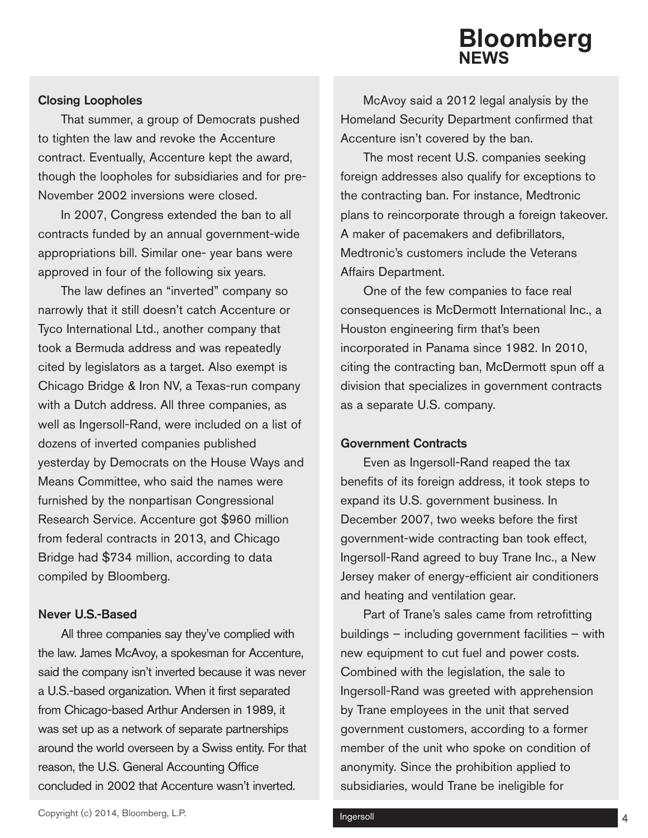# Closing Loopholes

That summer, a group of Democrats pushed to tighten the law and revoke the Accenture contract. Eventually, Accenture kept the award, though the loopholes for subsidiaries and for pre-November 2002 inversions were closed.

In 2007, Congress extended the ban to all contracts funded by an annual government-wide appropriations bill. Similar one- year bans were approved in four of the following six years.

The law defines an "inverted" company so narrowly that it still doesn't catch Accenture or Tyco International Ltd., another company that took a Bermuda address and was repeatedly cited by legislators as a target. Also exempt is Chicago Bridge & Iron NV, a Texas-run company with a Dutch address. All three companies, as well as Ingersoll-Rand, were included on a list of dozens of inverted companies published yesterday by Democrats on the House Ways and Means Committee, who said the names were furnished by the nonpartisan Congressional Research Service. Accenture got \$960 million from federal contracts in 2013, and Chicago Bridge had \$734 million, according to data compiled by Bloomberg.

# Never U.S.-Based

All three companies say they've complied with the law. James McAvoy, a spokesman for Accenture, said the company isn't inverted because it was never a U.S.-based organization. When it first separated from Chicago-based Arthur Andersen in 1989, it was set up as a network of separate partnerships around the world overseen by a Swiss entity. For that reason, the U.S. General Accounting Office concluded in 2002 that Accenture wasn't inverted.

McAvoy said a 2012 legal analysis by the Homeland Security Department confirmed that Accenture isn't covered by the ban.

The most recent U.S. companies seeking foreign addresses also qualify for exceptions to the contracting ban. For instance, Medtronic plans to reincorporate through a foreign takeover. A maker of pacemakers and defibrillators, Medtronic's customers include the Veterans Affairs Department.

One of the few companies to face real consequences is McDermott International Inc., a Houston engineering firm that's been incorporated in Panama since 1982. In 2010, citing the contracting ban, McDermott spun off a division that specializes in government contracts as a separate U.S. company.

# Government Contracts

Even as Ingersoll-Rand reaped the tax benefits of its foreign address, it took steps to expand its U.S. government business. In December 2007, two weeks before the first government-wide contracting ban took effect, Ingersoll-Rand agreed to buy Trane Inc., a New Jersey maker of energy-efficient air conditioners and heating and ventilation gear.

Part of Trane's sales came from retrofitting buildings – including government facilities – with new equipment to cut fuel and power costs. Combined with the legislation, the sale to Ingersoll-Rand was greeted with apprehension by Trane employees in the unit that served government customers, according to a former member of the unit who spoke on condition of anonymity. Since the prohibition applied to subsidiaries, would Trane be ineligible for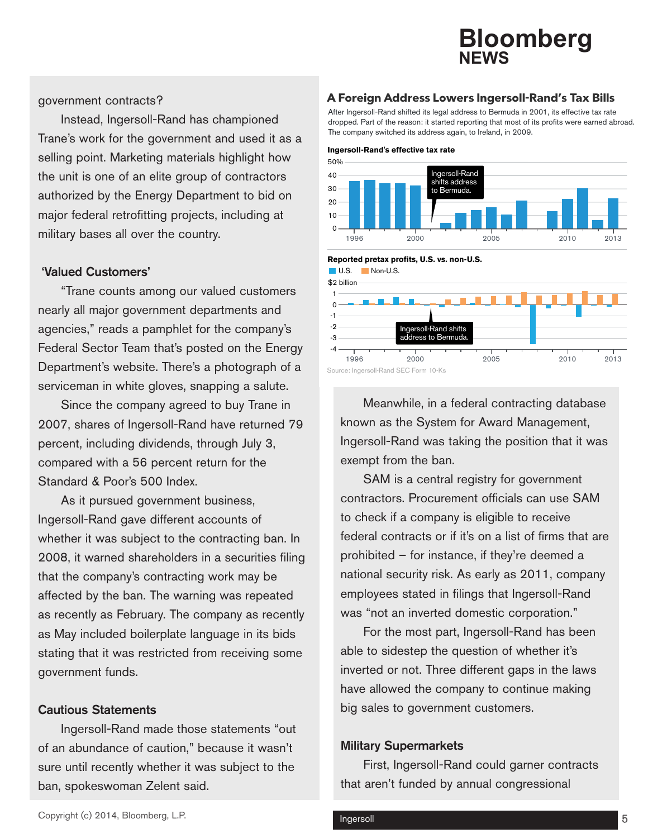

#### government contracts?

Instead, Ingersoll-Rand has championed Trane's work for the government and used it as a selling point. Marketing materials highlight how the unit is one of an elite group of contractors authorized by the Energy Department to bid on major federal retrofitting projects, including at military bases all over the country.

#### 'Valued Customers'

"Trane counts among our valued customers nearly all major government departments and agencies," reads a pamphlet for the company's Federal Sector Team that's posted on the Energy Department's website. There's a photograph of a serviceman in white gloves, snapping a salute.

Since the company agreed to buy Trane in 2007, shares of Ingersoll-Rand have returned 79 percent, including dividends, through July 3, compared with a 56 percent return for the Standard & Poor's 500 Index.

As it pursued government business, Ingersoll-Rand gave different accounts of whether it was subject to the contracting ban. In 2008, it warned shareholders in a securities filing that the company's contracting work may be affected by the ban. The warning was repeated as recently as February. The company as recently as May included boilerplate language in its bids stating that it was restricted from receiving some government funds.

# Cautious Statements

Ingersoll-Rand made those statements "out of an abundance of caution," because it wasn't sure until recently whether it was subject to the ban, spokeswoman Zelent said.

#### **A Foreign Address Lowers Ingersoll-Rand's Tax Bills**

After Ingersoll-Rand shifted its legal address to Bermuda in 2001, its effective tax rate dropped. Part of the reason: it started reporting that most of its profits were earned abroad. The company switched its address again, to Ireland, in 2009.







Meanwhile, in a federal contracting database known as the System for Award Management, Ingersoll-Rand was taking the position that it was exempt from the ban.

SAM is a central registry for government contractors. Procurement officials can use SAM to check if a company is eligible to receive federal contracts or if it's on a list of firms that are prohibited – for instance, if they're deemed a national security risk. As early as 2011, company employees stated in filings that Ingersoll-Rand was "not an inverted domestic corporation."

For the most part, Ingersoll-Rand has been able to sidestep the question of whether it's inverted or not. Three different gaps in the laws have allowed the company to continue making big sales to government customers.

#### Military Supermarkets

First, Ingersoll-Rand could garner contracts that aren't funded by annual congressional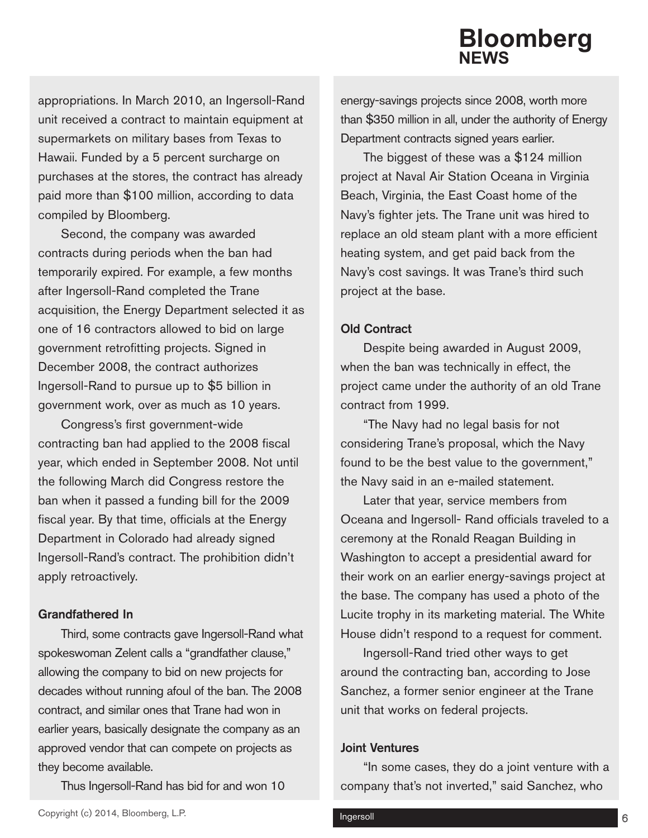appropriations. In March 2010, an Ingersoll-Rand unit received a contract to maintain equipment at supermarkets on military bases from Texas to Hawaii. Funded by a 5 percent surcharge on purchases at the stores, the contract has already paid more than \$100 million, according to data compiled by Bloomberg.

Second, the company was awarded contracts during periods when the ban had temporarily expired. For example, a few months after Ingersoll-Rand completed the Trane acquisition, the Energy Department selected it as one of 16 contractors allowed to bid on large government retrofitting projects. Signed in December 2008, the contract authorizes Ingersoll-Rand to pursue up to \$5 billion in government work, over as much as 10 years.

Congress's first government-wide contracting ban had applied to the 2008 fiscal year, which ended in September 2008. Not until the following March did Congress restore the ban when it passed a funding bill for the 2009 fiscal year. By that time, officials at the Energy Department in Colorado had already signed Ingersoll-Rand's contract. The prohibition didn't apply retroactively.

# Grandfathered In

Third, some contracts gave Ingersoll-Rand what spokeswoman Zelent calls a "grandfather clause," allowing the company to bid on new projects for decades without running afoul of the ban. The 2008 contract, and similar ones that Trane had won in earlier years, basically designate the company as an approved vendor that can compete on projects as they become available.

Thus Ingersoll-Rand has bid for and won 10

The biggest of these was a \$124 million project at Naval Air Station Oceana in Virginia Beach, Virginia, the East Coast home of the Navy's fighter jets. The Trane unit was hired to replace an old steam plant with a more efficient heating system, and get paid back from the Navy's cost savings. It was Trane's third such project at the base.

# Old Contract

Despite being awarded in August 2009, when the ban was technically in effect, the project came under the authority of an old Trane contract from 1999.

"The Navy had no legal basis for not considering Trane's proposal, which the Navy found to be the best value to the government," the Navy said in an e-mailed statement.

Later that year, service members from Oceana and Ingersoll- Rand officials traveled to a ceremony at the Ronald Reagan Building in Washington to accept a presidential award for their work on an earlier energy-savings project at the base. The company has used a photo of the Lucite trophy in its marketing material. The White House didn't respond to a request for comment.

Ingersoll-Rand tried other ways to get around the contracting ban, according to Jose Sanchez, a former senior engineer at the Trane unit that works on federal projects.

# Joint Ventures

"In some cases, they do a joint venture with a company that's not inverted," said Sanchez, who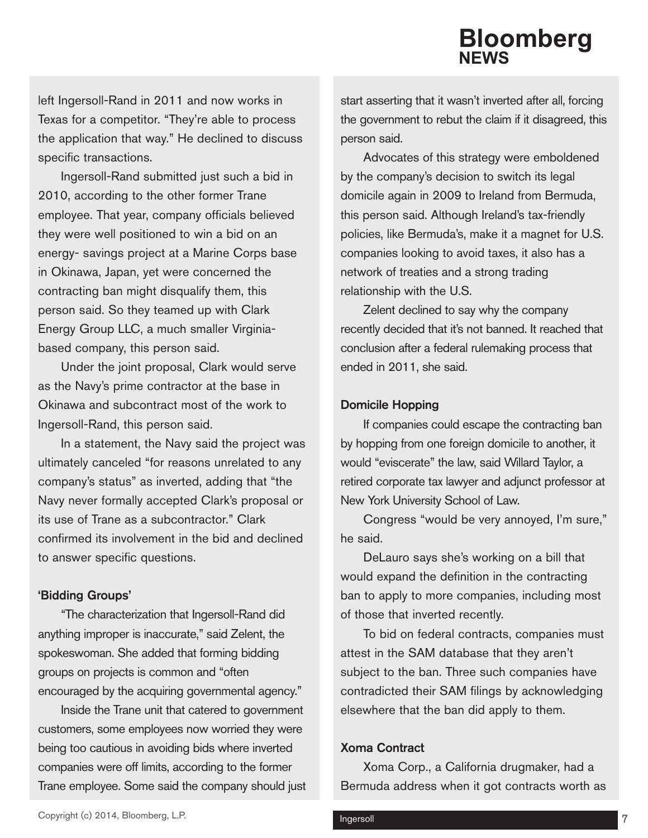left Ingersoll-Rand in 2011 and now works in Texas for a competitor. "They're able to process the application that way." He declined to discuss specific transactions.

Ingersoll-Rand submitted just such a bid in 2010, according to the other former Trane employee. That year, company officials believed they were well positioned to win a bid on an energy- savings project at a Marine Corps base in Okinawa, Japan, yet were concerned the contracting ban might disqualify them, this person said. So they teamed up with Clark Energy Group LLC, a much smaller Virginiabased company, this person said.

Under the joint proposal, Clark would serve as the Navy's prime contractor at the base in Okinawa and subcontract most of the work to Ingersoll-Rand, this person said.

In a statement, the Navy said the project was ultimately canceled "for reasons unrelated to any company's status" as inverted, adding that "the Navy never formally accepted Clark's proposal or its use of Trane as a subcontractor." Clark confirmed its involvement in the bid and declined to answer specific questions.

# 'Bidding Groups'

"The characterization that Ingersoll-Rand did anything improper is inaccurate," said Zelent, the spokeswoman. She added that forming bidding groups on projects is common and "often encouraged by the acquiring governmental agency."

Inside the Trane unit that catered to government customers, some employees now worried they were being too cautious in avoiding bids where inverted companies were off limits, according to the former Trane employee. Some said the company should just start asserting that it wasn't inverted after all, forcing the government to rebut the claim if it disagreed, this person said.

Advocates of this strategy were emboldened by the company's decision to switch its legal domicile again in 2009 to Ireland from Bermuda, this person said. Although Ireland's tax-friendly policies, like Bermuda's, make it a magnet for U.S. companies looking to avoid taxes, it also has a network of treaties and a strong trading relationship with the U.S.

Zelent declined to say why the company recently decided that it's not banned. It reached that conclusion after a federal rulemaking process that ended in 2011, she said.

#### Domicile Hopping

If companies could escape the contracting ban by hopping from one foreign domicile to another, it would "eviscerate" the law, said Willard Taylor, a retired corporate tax lawyer and adjunct professor at New York University School of Law.

Congress "would be very annoyed, I'm sure," he said.

DeLauro says she's working on a bill that would expand the definition in the contracting ban to apply to more companies, including most of those that inverted recently.

To bid on federal contracts, companies must attest in the SAM database that they aren't subject to the ban. Three such companies have contradicted their SAM filings by acknowledging elsewhere that the ban did apply to them.

### Xoma Contract

Xoma Corp., a California drugmaker, had a Bermuda address when it got contracts worth as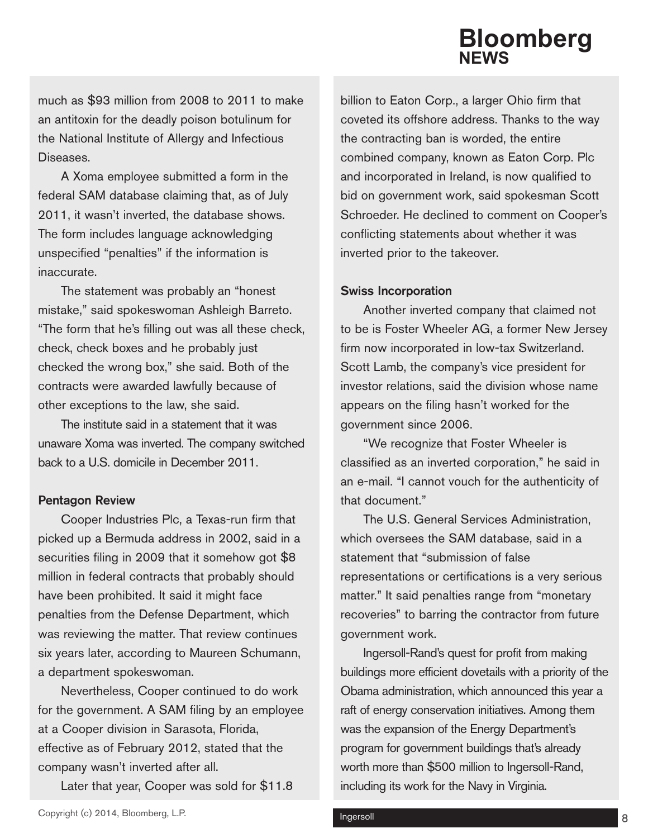much as \$93 million from 2008 to 2011 to make an antitoxin for the deadly poison botulinum for the National Institute of Allergy and Infectious Diseases.

A Xoma employee submitted a form in the federal SAM database claiming that, as of July 2011, it wasn't inverted, the database shows. The form includes language acknowledging unspecified "penalties" if the information is inaccurate.

The statement was probably an "honest mistake," said spokeswoman Ashleigh Barreto. "The form that he's filling out was all these check, check, check boxes and he probably just checked the wrong box," she said. Both of the contracts were awarded lawfully because of other exceptions to the law, she said.

The institute said in a statement that it was unaware Xoma was inverted. The company switched back to a U.S. domicile in December 2011.

# Pentagon Review

Cooper Industries Plc, a Texas-run firm that picked up a Bermuda address in 2002, said in a securities filing in 2009 that it somehow got \$8 million in federal contracts that probably should have been prohibited. It said it might face penalties from the Defense Department, which was reviewing the matter. That review continues six years later, according to Maureen Schumann, a department spokeswoman.

Nevertheless, Cooper continued to do work for the government. A SAM filing by an employee at a Cooper division in Sarasota, Florida, effective as of February 2012, stated that the company wasn't inverted after all.

Later that year, Cooper was sold for \$11.8

billion to Eaton Corp., a larger Ohio firm that coveted its offshore address. Thanks to the way the contracting ban is worded, the entire combined company, known as Eaton Corp. Plc and incorporated in Ireland, is now qualified to bid on government work, said spokesman Scott Schroeder. He declined to comment on Cooper's conflicting statements about whether it was inverted prior to the takeover.

#### Swiss Incorporation

Another inverted company that claimed not to be is Foster Wheeler AG, a former New Jersey firm now incorporated in low-tax Switzerland. Scott Lamb, the company's vice president for investor relations, said the division whose name appears on the filing hasn't worked for the government since 2006.

"We recognize that Foster Wheeler is classified as an inverted corporation," he said in an e-mail. "I cannot vouch for the authenticity of that document."

The U.S. General Services Administration, which oversees the SAM database, said in a statement that "submission of false representations or certifications is a very serious matter." It said penalties range from "monetary recoveries" to barring the contractor from future government work.

Ingersoll-Rand's quest for profit from making buildings more efficient dovetails with a priority of the Obama administration, which announced this year a raft of energy conservation initiatives. Among them was the expansion of the Energy Department's program for government buildings that's already worth more than \$500 million to Ingersoll-Rand, including its work for the Navy in Virginia.